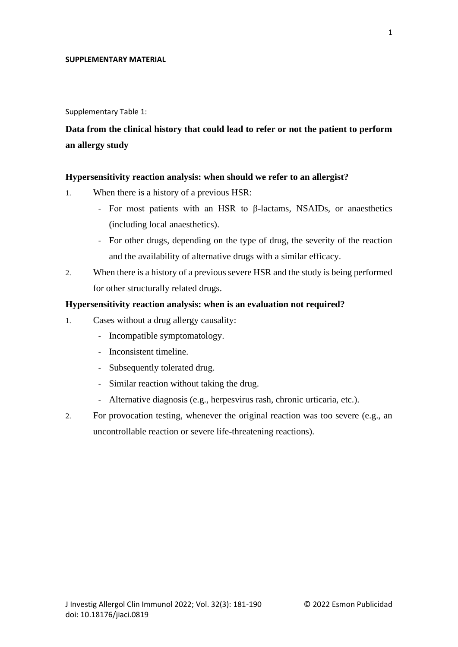### **SUPPLEMENTARY MATERIAL**

Supplementary Table 1:

**Data from the clinical history that could lead to refer or not the patient to perform an allergy study**

### **Hypersensitivity reaction analysis: when should we refer to an allergist?**

- 1. When there is a history of a previous HSR:
	- For most patients with an HSR to β-lactams, NSAIDs, or anaesthetics (including local anaesthetics).
	- For other drugs, depending on the type of drug, the severity of the reaction and the availability of alternative drugs with a similar efficacy.
- 2. When there is a history of a previous severe HSR and the study is being performed for other structurally related drugs.

# **Hypersensitivity reaction analysis: when is an evaluation not required?**

- 1. Cases without a drug allergy causality:
	- Incompatible symptomatology.
	- Inconsistent timeline.
	- Subsequently tolerated drug.
	- Similar reaction without taking the drug.
	- Alternative diagnosis (e.g., herpesvirus rash, chronic urticaria, etc.).
- 2. For provocation testing, whenever the original reaction was too severe (e.g., an uncontrollable reaction or severe life-threatening reactions).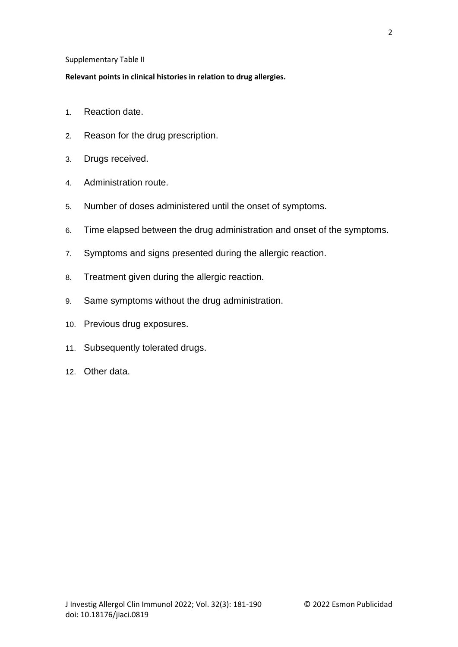## Supplementary Table II

# **Relevant points in clinical histories in relation to drug allergies.**

- 1. Reaction date.
- 2. Reason for the drug prescription.
- 3. Drugs received.
- 4. Administration route.
- 5. Number of doses administered until the onset of symptoms.
- 6. Time elapsed between the drug administration and onset of the symptoms.
- 7. Symptoms and signs presented during the allergic reaction.
- 8. Treatment given during the allergic reaction.
- 9. Same symptoms without the drug administration.
- 10. Previous drug exposures.
- 11. Subsequently tolerated drugs.
- 12. Other data.